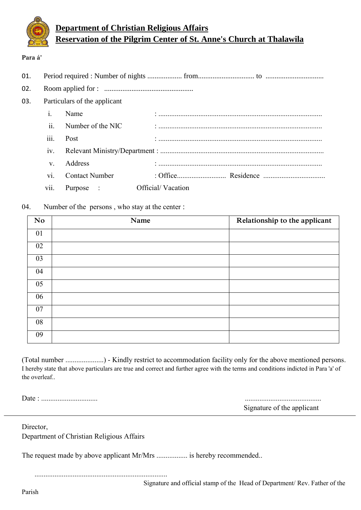

## **Department of Christian Religious Affairs Reservation of the Pilgrim Center of St. Anne's Church at Thalawila**

## **Para á'**

| 01. |                              |                       |                   |  |  |
|-----|------------------------------|-----------------------|-------------------|--|--|
| 02. |                              |                       |                   |  |  |
| 03. | Particulars of the applicant |                       |                   |  |  |
|     | $\mathbf{1}$                 | Name                  |                   |  |  |
|     | ii.                          | Number of the NIC     |                   |  |  |
|     | 111.                         | Post                  |                   |  |  |
|     | 1V.                          |                       |                   |  |  |
|     | $V_{-}$                      | Address               |                   |  |  |
|     | V1.                          | <b>Contact Number</b> |                   |  |  |
|     | V11.                         | Purpose :             | Official/Vacation |  |  |

## 04. Number of the persons , who stay at the center :

| N <sub>o</sub> | Name | Relationship to the applicant |
|----------------|------|-------------------------------|
| 01             |      |                               |
| 02             |      |                               |
| 03             |      |                               |
| 04             |      |                               |
| 05             |      |                               |
| 06             |      |                               |
| 07             |      |                               |
| 08             |      |                               |
| 09             |      |                               |

(Total number .....................) - Kindly restrict to accommodation facility only for the above mentioned persons. I hereby state that above particulars are true and correct and further agree with the terms and conditions indicted in Para 'a' of the overleaf..

Date : ............................... ..........................................

Signature of the applicant

Director, Department of Christian Religious Affairs

The request made by above applicant Mr/Mrs ................. is hereby recommended..

.........................................................................

Signature and official stamp of the Head of Department/ Rev. Father of the